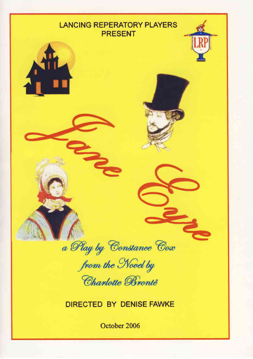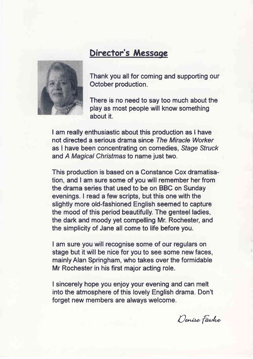

## Director's Messoge

Thank you all for coming and supporting our October production.

There is no need to say too much about the play as most people will know something about it.

I am really enthusiastic about this production as I have not directed a serious drama since The Miracle Worker as I have been concentrating on comedies, Sfage Sfruck and A Magical Christmas to name just two.

This production is based on a Constance Cox dramatisation, and I am sure some of you will remember her from the drama series that used to be on BBC on Sunday evenings. Iread a few scripts, but this one with the slightly more old-fashioned English seemed to capture the mood of this period beautifully. The genteel ladies, the dark and moody yet compelling Mr. Rochester, and the simplicity of Jane all come to life before you.

I am sure you will recognise some of our regulars on stage but it will be nice for you to see some new faces, mainly Alan Springham, who takes over the formidable Mr Rochester in his first major acting role.

I sincerely hope you enjoy your evening and can melt into the atmosphere of this lovely English drama. Don't forget new members are always welcome.

Denise Fawke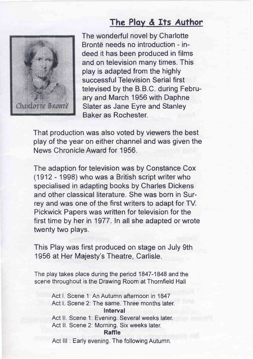## The Ploy & Its Author



The wonderful novel by Charlotte Brontë needs no introduction - indeed it has been produced in films and on television many times. This play is adapted from the highly successful Television Serial first televised by the B.B.C. during February and March 1956 with Daphne Slater as Jane Eyre and Stanley Baker as Rochester.

That production was also voted by viewers the best play of the year on either channel and was given the News ChronicleAward for 1956.

The adaption for television was by Constance Cox (1912 - 1998) who was a British script writer who specialised in adapting books by Charles Dickens and other classical literature. She was born in Surrey and was one of the first writers to adapt for TV. Pickwick Papers was written for television for the first time by her in 1977. In all she adapted or wrote twenty two plays.

This Play was first produced on stage on July 9th 1956 at Her Majesty's Theatre, Carlisle.

The play takes place during the period 1847-1848 and the scene throughout is the Drawing Room at Thornfield Hall

> Act l. Scene 1: An Autumn afternoon in 1847 Act I. Scene 2: The same. Three months later. Interval Act II. Scene 1: Evening. Several weeks later. Act ll. Scene 2: Morning. Six weeks later. Raffle

Act III: Early evening. The following Autumn.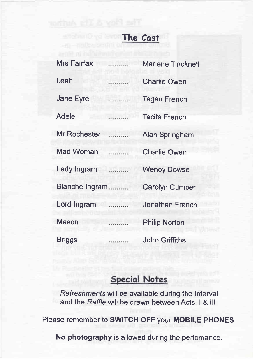## The Cost

| <b>Mrs Fairfax</b>  | . | <b>Marlene Tincknell</b> |
|---------------------|---|--------------------------|
| Leah                |   | <b>Charlie Owen</b>      |
| <b>Jane Eyre</b>    | . | <b>Tegan French</b>      |
| Adele               | . | <b>Tacita French</b>     |
| <b>Mr Rochester</b> | . | Alan Springham           |
| <b>Mad Woman</b>    | . | <b>Charlie Owen</b>      |
| Lady Ingram         | . | <b>Wendy Dowse</b>       |
| Blanche Ingram      |   | <b>Carolyn Cumber</b>    |
| Lord Ingram         | . | <b>Jonathan French</b>   |
| Mason               | . | <b>Philip Norton</b>     |
| Briggs              | . | <b>John Griffiths</b>    |

## **Special Notes**

Refreshmenfs will be available during the lnterval and the Raffle will be drawn between Acts ll & lll.

Please remember to SWITCH OFF your MOBILE PHONES.

No photography is allowed during the perfomance.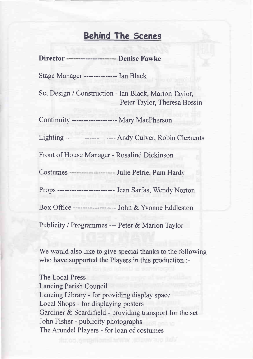#### Behind The Scenes

Director -------------------------- Denise Fawke Stage Manager --------------- Ian Black Set Design /Construction - Ian Black, Marion Taylor, Peter Taylor, Theresa Bossin Continuity ------------------- Mary MacPherson Lighting --------------------- Andy Culver, Robin Clements Front of House Manaeer - Rosalind Dickinson Costumes -------------------- Julie Petrie, Pam Hardy Props ------------------------ Jean Sarfas, Wendy Norton Box Office ------------------ John & Yvonne Eddleston Publicity / Programmes --- Peter & Marion Taylor

We would also like to give special thanks to the following who have supported the Players in this production :-

The Local Press Lancing Parish Council Lancing Library - for providing display space Local Shops - for displaying posters Gardiner & Scardifield - providing transport for the set John Fisher - publicity photographs The Arundel Players - for loan of costumes